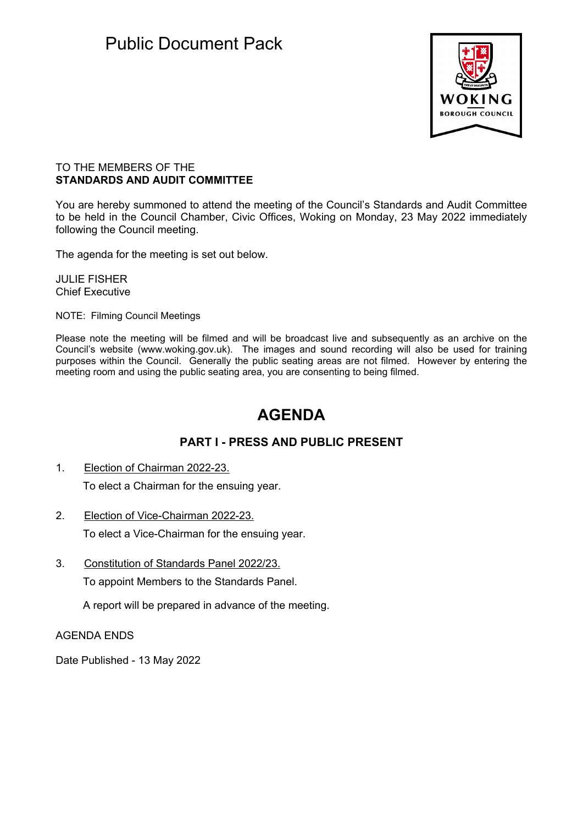## Public Document Pack



## TO THE MEMBERS OF THE **STANDARDS AND AUDIT COMMITTEE**

You are hereby summoned to attend the meeting of the Council's Standards and Audit Committee to be held in the Council Chamber, Civic Offices, Woking on Monday, 23 May 2022 immediately following the Council meeting.

The agenda for the meeting is set out below.

JULIE FISHER Chief Executive

NOTE: Filming Council Meetings

Please note the meeting will be filmed and will be broadcast live and subsequently as an archive on the Council's website (www.woking.gov.uk). The images and sound recording will also be used for training purposes within the Council. Generally the public seating areas are not filmed. However by entering the meeting room and using the public seating area, you are consenting to being filmed.

## **AGENDA**

## **PART I - PRESS AND PUBLIC PRESENT**

- 1. Election of Chairman 2022-23. To elect a Chairman for the ensuing year.
- 2. Election of Vice-Chairman 2022-23. To elect a Vice-Chairman for the ensuing year.
- 3. Constitution of Standards Panel 2022/23. To appoint Members to the Standards Panel.

A report will be prepared in advance of the meeting.

AGENDA ENDS

Date Published - 13 May 2022